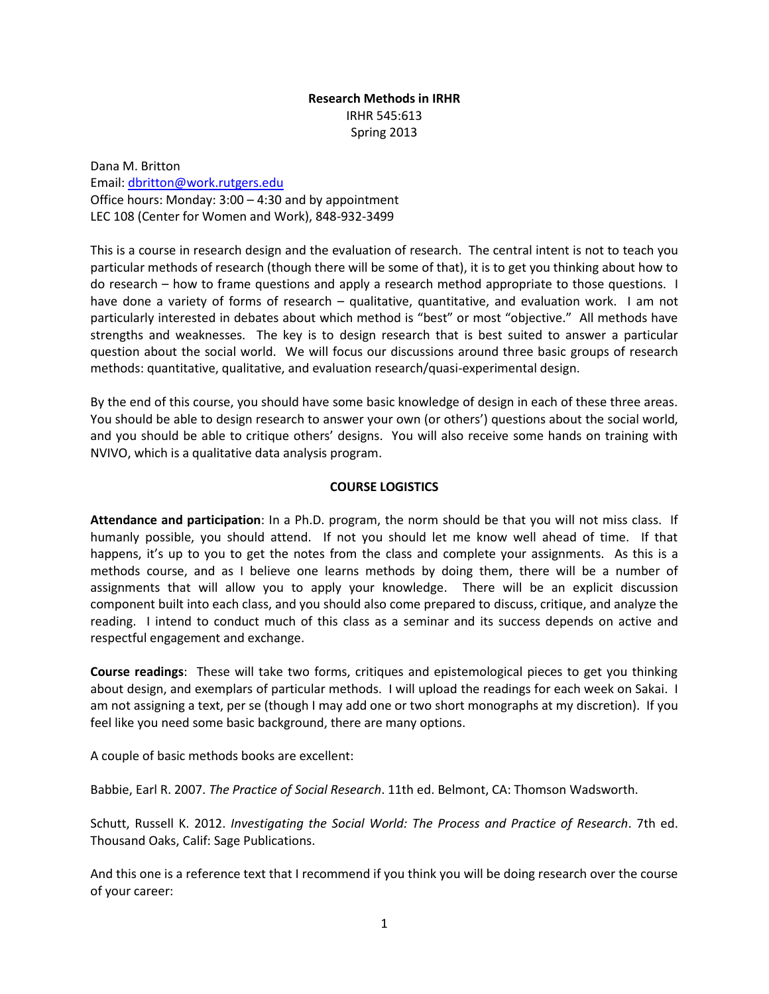## **Research Methods in IRHR** IRHR 545:613 Spring 2013

Dana M. Britton Email: [dbritton@work.rutgers.edu](mailto:dbritton@work.rutgers.edu) Office hours: Monday: 3:00 – 4:30 and by appointment LEC 108 (Center for Women and Work), 848-932-3499

This is a course in research design and the evaluation of research. The central intent is not to teach you particular methods of research (though there will be some of that), it is to get you thinking about how to do research – how to frame questions and apply a research method appropriate to those questions. I have done a variety of forms of research – qualitative, quantitative, and evaluation work. I am not particularly interested in debates about which method is "best" or most "objective." All methods have strengths and weaknesses. The key is to design research that is best suited to answer a particular question about the social world. We will focus our discussions around three basic groups of research methods: quantitative, qualitative, and evaluation research/quasi-experimental design.

By the end of this course, you should have some basic knowledge of design in each of these three areas. You should be able to design research to answer your own (or others') questions about the social world, and you should be able to critique others' designs. You will also receive some hands on training with NVIVO, which is a qualitative data analysis program.

## **COURSE LOGISTICS**

**Attendance and participation**: In a Ph.D. program, the norm should be that you will not miss class. If humanly possible, you should attend. If not you should let me know well ahead of time. If that happens, it's up to you to get the notes from the class and complete your assignments. As this is a methods course, and as I believe one learns methods by doing them, there will be a number of assignments that will allow you to apply your knowledge. There will be an explicit discussion component built into each class, and you should also come prepared to discuss, critique, and analyze the reading. I intend to conduct much of this class as a seminar and its success depends on active and respectful engagement and exchange.

**Course readings**: These will take two forms, critiques and epistemological pieces to get you thinking about design, and exemplars of particular methods. I will upload the readings for each week on Sakai. I am not assigning a text, per se (though I may add one or two short monographs at my discretion). If you feel like you need some basic background, there are many options.

A couple of basic methods books are excellent:

Babbie, Earl R. 2007. *The Practice of Social Research*. 11th ed. Belmont, CA: Thomson Wadsworth.

Schutt, Russell K. 2012. *Investigating the Social World: The Process and Practice of Research*. 7th ed. Thousand Oaks, Calif: Sage Publications.

And this one is a reference text that I recommend if you think you will be doing research over the course of your career: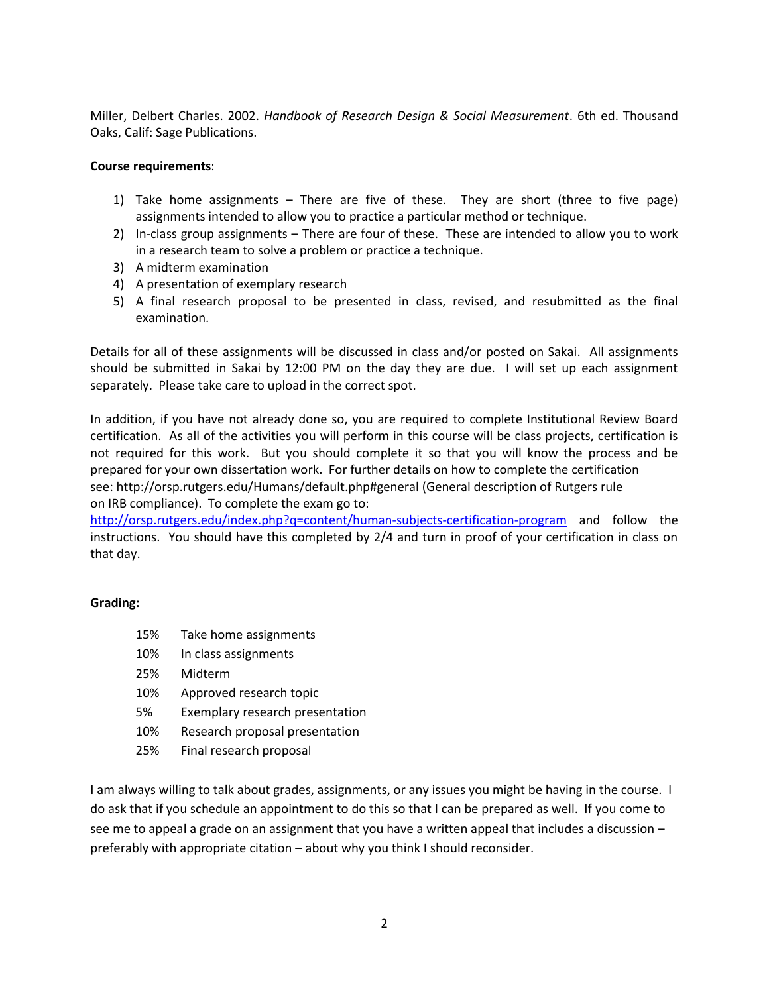Miller, Delbert Charles. 2002. *Handbook of Research Design & Social Measurement*. 6th ed. Thousand Oaks, Calif: Sage Publications.

## **Course requirements**:

- 1) Take home assignments There are five of these. They are short (three to five page) assignments intended to allow you to practice a particular method or technique.
- 2) In-class group assignments There are four of these. These are intended to allow you to work in a research team to solve a problem or practice a technique.
- 3) A midterm examination
- 4) A presentation of exemplary research
- 5) A final research proposal to be presented in class, revised, and resubmitted as the final examination.

Details for all of these assignments will be discussed in class and/or posted on Sakai. All assignments should be submitted in Sakai by 12:00 PM on the day they are due. I will set up each assignment separately. Please take care to upload in the correct spot.

In addition, if you have not already done so, you are required to complete Institutional Review Board certification. As all of the activities you will perform in this course will be class projects, certification is not required for this work. But you should complete it so that you will know the process and be prepared for your own dissertation work. For further details on how to complete the certification see: http://orsp.rutgers.edu/Humans/default.php#general (General description of Rutgers rule on IRB compliance). To complete the exam go to:

<http://orsp.rutgers.edu/index.php?q=content/human-subjects-certification-program> and follow the instructions. You should have this completed by 2/4 and turn in proof of your certification in class on that day.

## **Grading:**

- 15% Take home assignments 10% In class assignments 25% Midterm 10% Approved research topic 5% Exemplary research presentation 10% Research proposal presentation
- 25% Final research proposal

I am always willing to talk about grades, assignments, or any issues you might be having in the course. I do ask that if you schedule an appointment to do this so that I can be prepared as well. If you come to see me to appeal a grade on an assignment that you have a written appeal that includes a discussion preferably with appropriate citation – about why you think I should reconsider.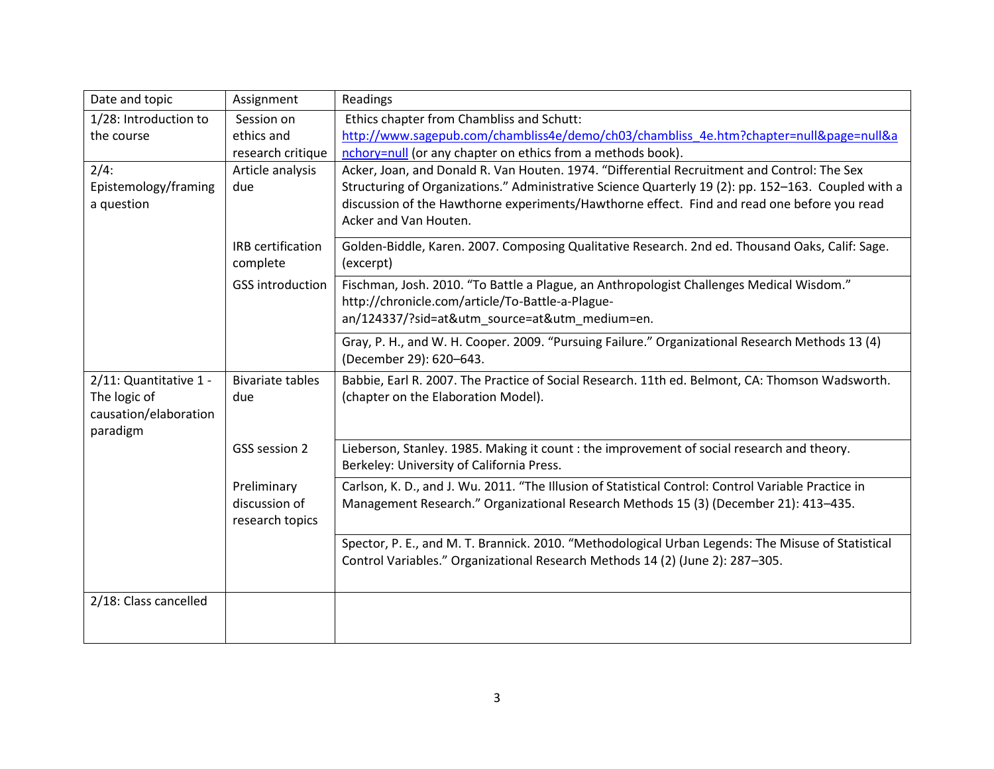| Date and topic         | Assignment                       | Readings                                                                                                                                |
|------------------------|----------------------------------|-----------------------------------------------------------------------------------------------------------------------------------------|
| 1/28: Introduction to  | Session on                       | Ethics chapter from Chambliss and Schutt:                                                                                               |
| the course             | ethics and                       | http://www.sagepub.com/chambliss4e/demo/ch03/chambliss 4e.htm?chapter=null&page=null&a                                                  |
|                        | research critique                | nchory=null (or any chapter on ethics from a methods book).                                                                             |
| 2/4:                   | Article analysis                 | Acker, Joan, and Donald R. Van Houten. 1974. "Differential Recruitment and Control: The Sex                                             |
| Epistemology/framing   | due                              | Structuring of Organizations." Administrative Science Quarterly 19 (2): pp. 152-163. Coupled with a                                     |
| a question             |                                  | discussion of the Hawthorne experiments/Hawthorne effect. Find and read one before you read<br>Acker and Van Houten.                    |
|                        | IRB certification                | Golden-Biddle, Karen. 2007. Composing Qualitative Research. 2nd ed. Thousand Oaks, Calif: Sage.                                         |
|                        | complete                         | (excerpt)                                                                                                                               |
|                        | <b>GSS introduction</b>          | Fischman, Josh. 2010. "To Battle a Plague, an Anthropologist Challenges Medical Wisdom."                                                |
|                        |                                  | http://chronicle.com/article/To-Battle-a-Plague-                                                                                        |
|                        |                                  | an/124337/?sid=at&utm_source=at&utm_medium=en.                                                                                          |
|                        |                                  | Gray, P. H., and W. H. Cooper. 2009. "Pursuing Failure." Organizational Research Methods 13 (4)                                         |
|                        |                                  | (December 29): 620-643.                                                                                                                 |
| 2/11: Quantitative 1 - | <b>Bivariate tables</b>          | Babbie, Earl R. 2007. The Practice of Social Research. 11th ed. Belmont, CA: Thomson Wadsworth.                                         |
| The logic of           | due                              | (chapter on the Elaboration Model).                                                                                                     |
| causation/elaboration  |                                  |                                                                                                                                         |
| paradigm               |                                  |                                                                                                                                         |
|                        | GSS session 2                    | Lieberson, Stanley. 1985. Making it count : the improvement of social research and theory.<br>Berkeley: University of California Press. |
|                        |                                  |                                                                                                                                         |
|                        | Preliminary                      | Carlson, K. D., and J. Wu. 2011. "The Illusion of Statistical Control: Control Variable Practice in                                     |
|                        | discussion of<br>research topics | Management Research." Organizational Research Methods 15 (3) (December 21): 413-435.                                                    |
|                        |                                  |                                                                                                                                         |
|                        |                                  | Spector, P. E., and M. T. Brannick. 2010. "Methodological Urban Legends: The Misuse of Statistical                                      |
|                        |                                  | Control Variables." Organizational Research Methods 14 (2) (June 2): 287-305.                                                           |
|                        |                                  |                                                                                                                                         |
| 2/18: Class cancelled  |                                  |                                                                                                                                         |
|                        |                                  |                                                                                                                                         |
|                        |                                  |                                                                                                                                         |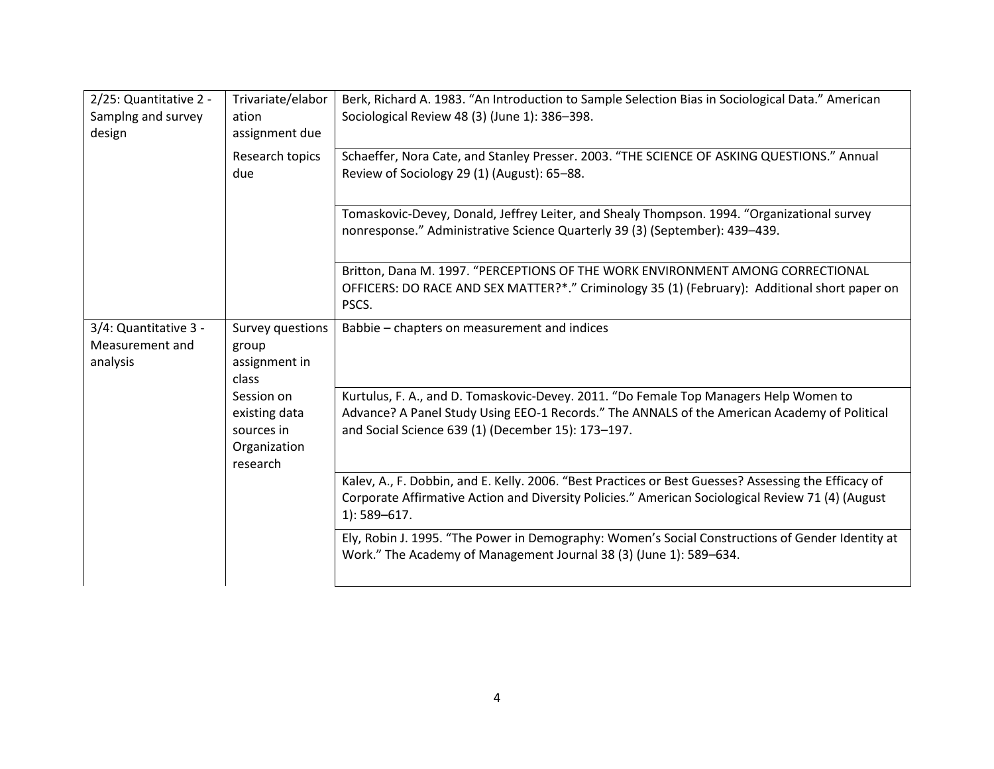| 2/25: Quantitative 2 -<br>Samplng and survey<br>design | Trivariate/elabor<br>ation<br>assignment due                          | Berk, Richard A. 1983. "An Introduction to Sample Selection Bias in Sociological Data." American<br>Sociological Review 48 (3) (June 1): 386-398.                                                                                           |
|--------------------------------------------------------|-----------------------------------------------------------------------|---------------------------------------------------------------------------------------------------------------------------------------------------------------------------------------------------------------------------------------------|
|                                                        | Research topics<br>due                                                | Schaeffer, Nora Cate, and Stanley Presser. 2003. "THE SCIENCE OF ASKING QUESTIONS." Annual<br>Review of Sociology 29 (1) (August): 65-88.                                                                                                   |
|                                                        |                                                                       | Tomaskovic-Devey, Donald, Jeffrey Leiter, and Shealy Thompson. 1994. "Organizational survey<br>nonresponse." Administrative Science Quarterly 39 (3) (September): 439-439.                                                                  |
|                                                        |                                                                       | Britton, Dana M. 1997. "PERCEPTIONS OF THE WORK ENVIRONMENT AMONG CORRECTIONAL<br>OFFICERS: DO RACE AND SEX MATTER?*." Criminology 35 (1) (February): Additional short paper on<br>PSCS.                                                    |
| 3/4: Quantitative 3 -<br>Measurement and<br>analysis   | Survey questions<br>group<br>assignment in<br>class                   | Babbie - chapters on measurement and indices                                                                                                                                                                                                |
|                                                        | Session on<br>existing data<br>sources in<br>Organization<br>research | Kurtulus, F. A., and D. Tomaskovic-Devey. 2011. "Do Female Top Managers Help Women to<br>Advance? A Panel Study Using EEO-1 Records." The ANNALS of the American Academy of Political<br>and Social Science 639 (1) (December 15): 173-197. |
|                                                        |                                                                       | Kalev, A., F. Dobbin, and E. Kelly. 2006. "Best Practices or Best Guesses? Assessing the Efficacy of<br>Corporate Affirmative Action and Diversity Policies." American Sociological Review 71 (4) (August<br>$1$ : 589-617.                 |
|                                                        |                                                                       | Ely, Robin J. 1995. "The Power in Demography: Women's Social Constructions of Gender Identity at<br>Work." The Academy of Management Journal 38 (3) (June 1): 589-634.                                                                      |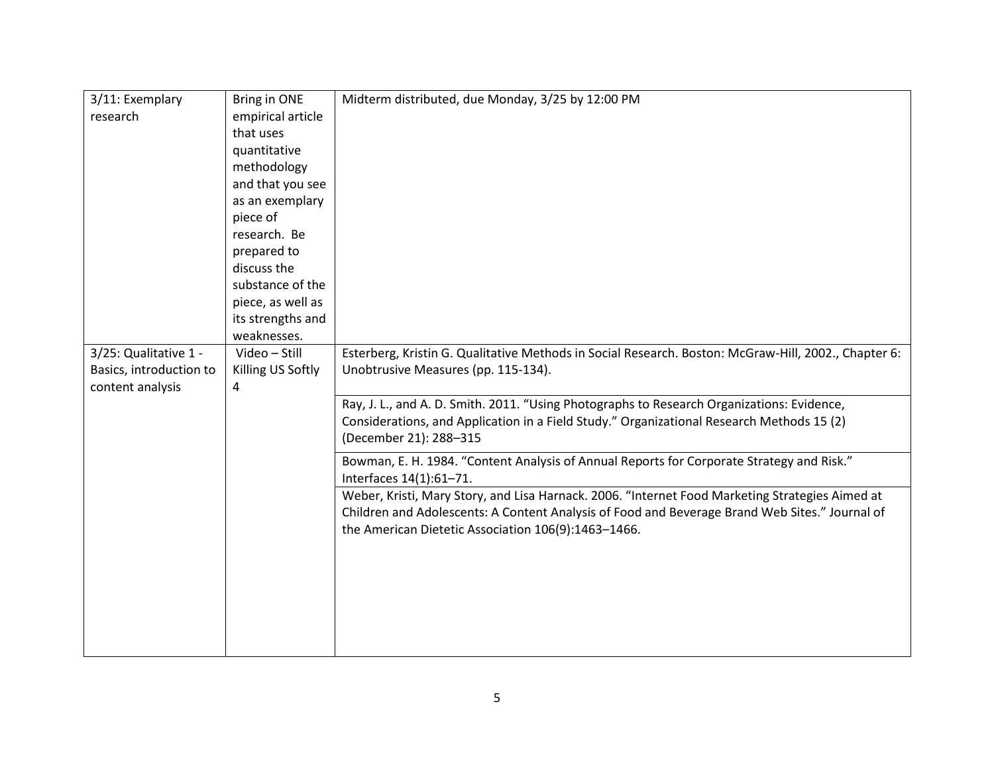| 3/11: Exemplary         | Bring in ONE      | Midterm distributed, due Monday, 3/25 by 12:00 PM                                                    |
|-------------------------|-------------------|------------------------------------------------------------------------------------------------------|
| research                | empirical article |                                                                                                      |
|                         | that uses         |                                                                                                      |
|                         | quantitative      |                                                                                                      |
|                         | methodology       |                                                                                                      |
|                         | and that you see  |                                                                                                      |
|                         | as an exemplary   |                                                                                                      |
|                         | piece of          |                                                                                                      |
|                         | research. Be      |                                                                                                      |
|                         | prepared to       |                                                                                                      |
|                         | discuss the       |                                                                                                      |
|                         | substance of the  |                                                                                                      |
|                         | piece, as well as |                                                                                                      |
|                         | its strengths and |                                                                                                      |
|                         | weaknesses.       |                                                                                                      |
| 3/25: Qualitative 1 -   | Video - Still     | Esterberg, Kristin G. Qualitative Methods in Social Research. Boston: McGraw-Hill, 2002., Chapter 6: |
| Basics, introduction to | Killing US Softly | Unobtrusive Measures (pp. 115-134).                                                                  |
| content analysis        | 4                 |                                                                                                      |
|                         |                   | Ray, J. L., and A. D. Smith. 2011. "Using Photographs to Research Organizations: Evidence,           |
|                         |                   | Considerations, and Application in a Field Study." Organizational Research Methods 15 (2)            |
|                         |                   | (December 21): 288-315                                                                               |
|                         |                   | Bowman, E. H. 1984. "Content Analysis of Annual Reports for Corporate Strategy and Risk."            |
|                         |                   | Interfaces 14(1):61-71.                                                                              |
|                         |                   | Weber, Kristi, Mary Story, and Lisa Harnack. 2006. "Internet Food Marketing Strategies Aimed at      |
|                         |                   | Children and Adolescents: A Content Analysis of Food and Beverage Brand Web Sites." Journal of       |
|                         |                   | the American Dietetic Association 106(9):1463-1466.                                                  |
|                         |                   |                                                                                                      |
|                         |                   |                                                                                                      |
|                         |                   |                                                                                                      |
|                         |                   |                                                                                                      |
|                         |                   |                                                                                                      |
|                         |                   |                                                                                                      |
|                         |                   |                                                                                                      |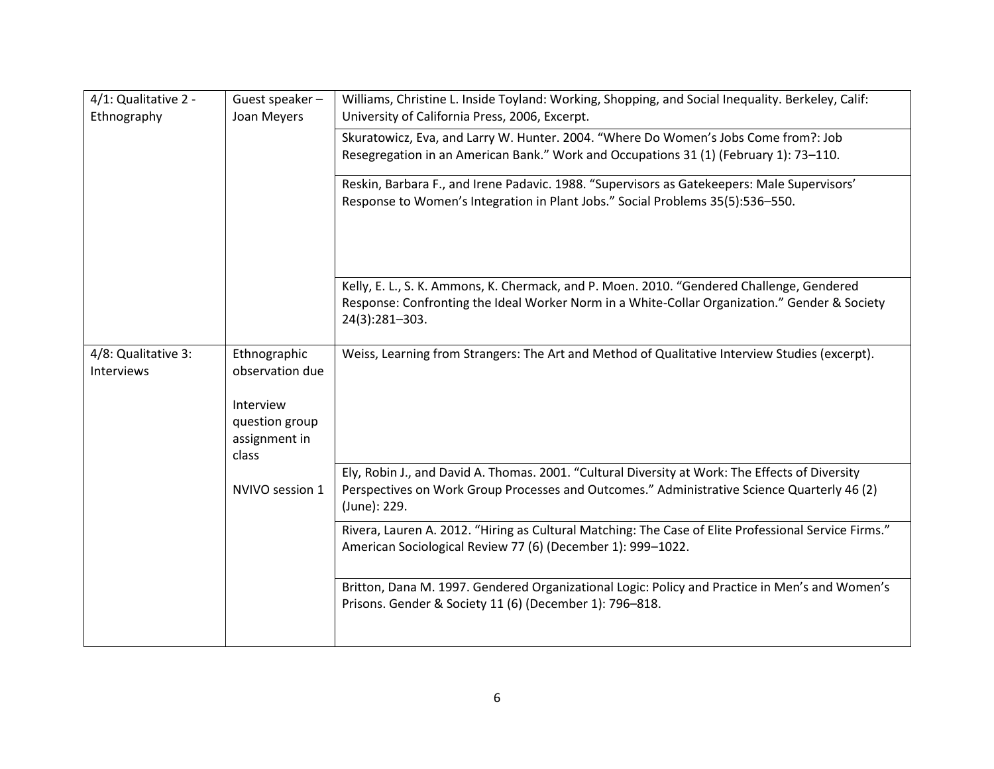| 4/1: Qualitative 2 -<br>Ethnography | Guest speaker-<br>Joan Meyers                                                            | Williams, Christine L. Inside Toyland: Working, Shopping, and Social Inequality. Berkeley, Calif:<br>University of California Press, 2006, Excerpt.                                                            |
|-------------------------------------|------------------------------------------------------------------------------------------|----------------------------------------------------------------------------------------------------------------------------------------------------------------------------------------------------------------|
|                                     |                                                                                          | Skuratowicz, Eva, and Larry W. Hunter. 2004. "Where Do Women's Jobs Come from?: Job<br>Resegregation in an American Bank." Work and Occupations 31 (1) (February 1): 73-110.                                   |
|                                     |                                                                                          | Reskin, Barbara F., and Irene Padavic. 1988. "Supervisors as Gatekeepers: Male Supervisors'<br>Response to Women's Integration in Plant Jobs." Social Problems 35(5):536-550.                                  |
|                                     |                                                                                          | Kelly, E. L., S. K. Ammons, K. Chermack, and P. Moen. 2010. "Gendered Challenge, Gendered<br>Response: Confronting the Ideal Worker Norm in a White-Collar Organization." Gender & Society<br>24(3):281-303.   |
| 4/8: Qualitative 3:<br>Interviews   | Ethnographic<br>observation due<br>Interview<br>question group<br>assignment in<br>class | Weiss, Learning from Strangers: The Art and Method of Qualitative Interview Studies (excerpt).                                                                                                                 |
|                                     | NVIVO session 1                                                                          | Ely, Robin J., and David A. Thomas. 2001. "Cultural Diversity at Work: The Effects of Diversity<br>Perspectives on Work Group Processes and Outcomes." Administrative Science Quarterly 46 (2)<br>(June): 229. |
|                                     |                                                                                          | Rivera, Lauren A. 2012. "Hiring as Cultural Matching: The Case of Elite Professional Service Firms."<br>American Sociological Review 77 (6) (December 1): 999-1022.                                            |
|                                     |                                                                                          | Britton, Dana M. 1997. Gendered Organizational Logic: Policy and Practice in Men's and Women's<br>Prisons. Gender & Society 11 (6) (December 1): 796-818.                                                      |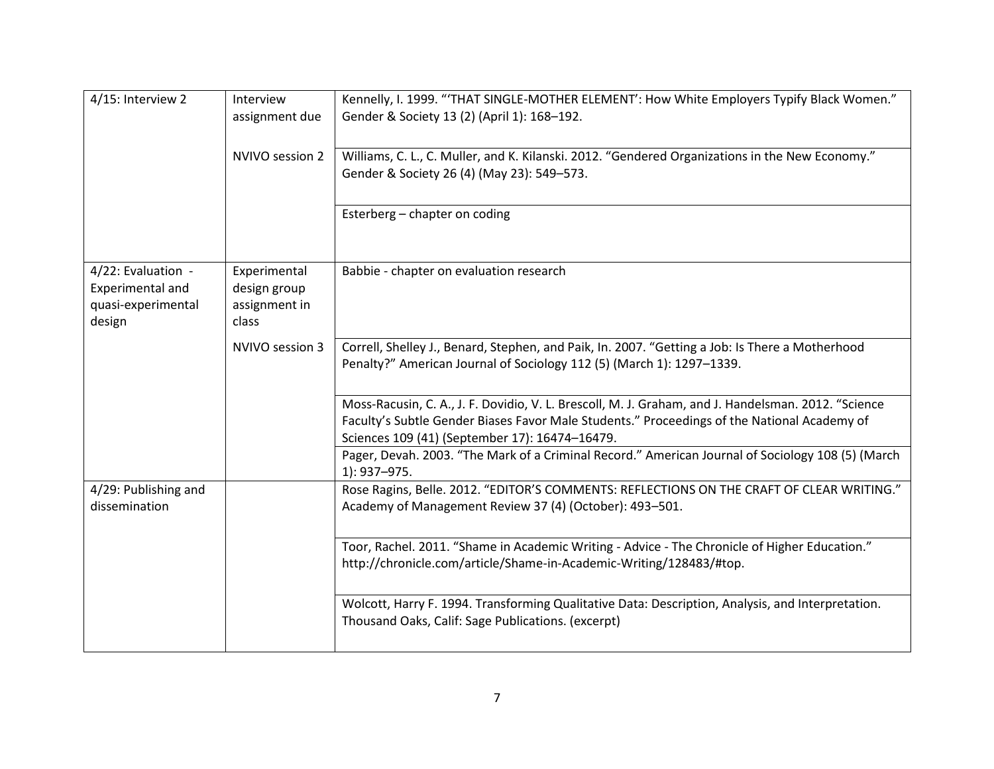| 4/15: Interview 2                                                      | Interview<br>assignment due                            | Kennelly, I. 1999. "THAT SINGLE-MOTHER ELEMENT': How White Employers Typify Black Women."<br>Gender & Society 13 (2) (April 1): 168-192.                                                                                                             |
|------------------------------------------------------------------------|--------------------------------------------------------|------------------------------------------------------------------------------------------------------------------------------------------------------------------------------------------------------------------------------------------------------|
|                                                                        | NVIVO session 2                                        | Williams, C. L., C. Muller, and K. Kilanski. 2012. "Gendered Organizations in the New Economy."<br>Gender & Society 26 (4) (May 23): 549-573.                                                                                                        |
|                                                                        |                                                        | Esterberg - chapter on coding                                                                                                                                                                                                                        |
| 4/22: Evaluation -<br>Experimental and<br>quasi-experimental<br>design | Experimental<br>design group<br>assignment in<br>class | Babbie - chapter on evaluation research                                                                                                                                                                                                              |
|                                                                        | NVIVO session 3                                        | Correll, Shelley J., Benard, Stephen, and Paik, In. 2007. "Getting a Job: Is There a Motherhood<br>Penalty?" American Journal of Sociology 112 (5) (March 1): 1297-1339.                                                                             |
|                                                                        |                                                        | Moss-Racusin, C. A., J. F. Dovidio, V. L. Brescoll, M. J. Graham, and J. Handelsman. 2012. "Science<br>Faculty's Subtle Gender Biases Favor Male Students." Proceedings of the National Academy of<br>Sciences 109 (41) (September 17): 16474-16479. |
|                                                                        |                                                        | Pager, Devah. 2003. "The Mark of a Criminal Record." American Journal of Sociology 108 (5) (March<br>1): 937-975.                                                                                                                                    |
| 4/29: Publishing and<br>dissemination                                  |                                                        | Rose Ragins, Belle. 2012. "EDITOR'S COMMENTS: REFLECTIONS ON THE CRAFT OF CLEAR WRITING."<br>Academy of Management Review 37 (4) (October): 493-501.                                                                                                 |
|                                                                        |                                                        | Toor, Rachel. 2011. "Shame in Academic Writing - Advice - The Chronicle of Higher Education."<br>http://chronicle.com/article/Shame-in-Academic-Writing/128483/#top.                                                                                 |
|                                                                        |                                                        | Wolcott, Harry F. 1994. Transforming Qualitative Data: Description, Analysis, and Interpretation.<br>Thousand Oaks, Calif: Sage Publications. (excerpt)                                                                                              |